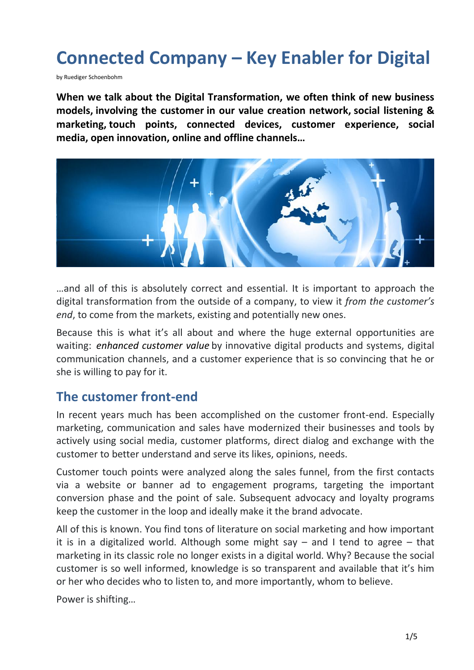# **Connected Company – Key Enabler for Digital**

by Ruediger Schoenbohm

**When we talk about the Digital Transformation, we often think of new business models, involving the customer in our value creation network, social listening & marketing, touch points, connected devices, customer experience, social media, open innovation, online and offline channels…**



…and all of this is absolutely correct and essential. It is important to approach the digital transformation from the outside of a company, to view it *from the customer's end*, to come from the markets, existing and potentially new ones.

Because this is what it's all about and where the huge external opportunities are waiting: *enhanced customer value* by innovative digital products and systems, digital communication channels, and a customer experience that is so convincing that he or she is willing to pay for it.

#### **The customer front-end**

In recent years much has been accomplished on the customer front-end. Especially marketing, communication and sales have modernized their businesses and tools by actively using social media, customer platforms, direct dialog and exchange with the customer to better understand and serve its likes, opinions, needs.

Customer touch points were analyzed along the sales funnel, from the first contacts via a website or banner ad to engagement programs, targeting the important conversion phase and the point of sale. Subsequent advocacy and loyalty programs keep the customer in the loop and ideally make it the brand advocate.

All of this is known. You find tons of literature on social marketing and how important it is in a digitalized world. Although some might say  $-$  and I tend to agree  $-$  that marketing in its classic role no longer exists in a digital world. Why? Because the social customer is so well informed, knowledge is so transparent and available that it's him or her who decides who to listen to, and more importantly, whom to believe.

Power is shifting…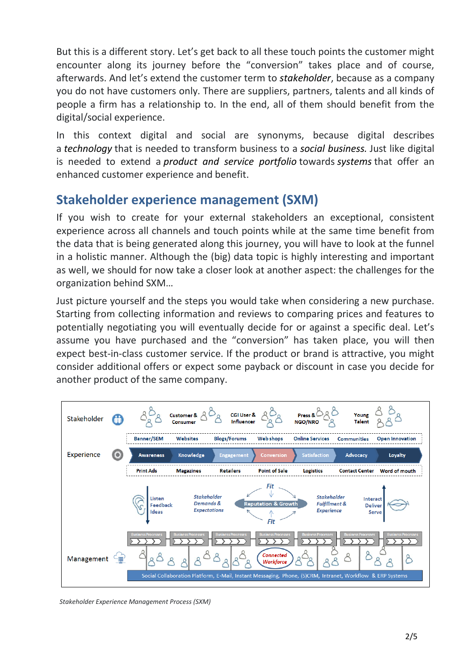But this is a different story. Let's get back to all these touch points the customer might encounter along its journey before the "conversion" takes place and of course, afterwards. And let's extend the customer term to *stakeholder*, because as a company you do not have customers only. There are suppliers, partners, talents and all kinds of people a firm has a relationship to. In the end, all of them should benefit from the digital/social experience.

In this context digital and social are synonyms, because digital describes a *technology* that is needed to transform business to a *social business.* Just like digital is needed to extend a *product and service portfolio* towards *systems* that offer an enhanced customer experience and benefit.

### **Stakeholder experience management (SXM)**

If you wish to create for your external stakeholders an exceptional, consistent experience across all channels and touch points while at the same time benefit from the data that is being generated along this journey, you will have to look at the funnel in a holistic manner. Although the (big) data topic is highly interesting and important as well, we should for now take a closer look at another aspect: the challenges for the organization behind SXM…

Just picture yourself and the steps you would take when considering a new purchase. Starting from collecting information and reviews to comparing prices and features to potentially negotiating you will eventually decide for or against a specific deal. Let's assume you have purchased and the "conversion" has taken place, you will then expect best-in-class customer service. If the product or brand is attractive, you might consider additional offers or expect some payback or discount in case you decide for another product of the same company.



*Stakeholder Experience Management Process (SXM)*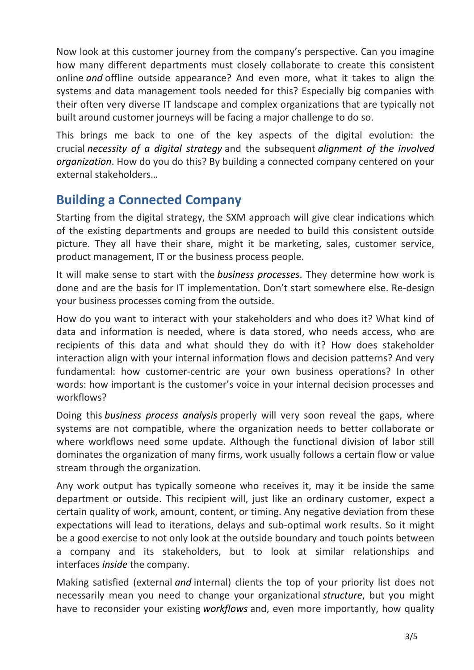Now look at this customer journey from the company's perspective. Can you imagine how many different departments must closely collaborate to create this consistent online *and* offline outside appearance? And even more, what it takes to align the systems and data management tools needed for this? Especially big companies with their often very diverse IT landscape and complex organizations that are typically not built around customer journeys will be facing a major challenge to do so.

This brings me back to one of the key aspects of the digital evolution: the crucial *necessity of a digital strategy* and the subsequent *alignment of the involved organization*. How do you do this? By building a connected company centered on your external stakeholders…

### **Building a Connected Company**

Starting from the digital strategy, the SXM approach will give clear indications which of the existing departments and groups are needed to build this consistent outside picture. They all have their share, might it be marketing, sales, customer service, product management, IT or the business process people.

It will make sense to start with the *business processes*. They determine how work is done and are the basis for IT implementation. Don't start somewhere else. Re-design your business processes coming from the outside.

How do you want to interact with your stakeholders and who does it? What kind of data and information is needed, where is data stored, who needs access, who are recipients of this data and what should they do with it? How does stakeholder interaction align with your internal information flows and decision patterns? And very fundamental: how customer-centric are your own business operations? In other words: how important is the customer's voice in your internal decision processes and workflows?

Doing this *business process analysis* properly will very soon reveal the gaps, where systems are not compatible, where the organization needs to better collaborate or where workflows need some update. Although the functional division of labor still dominates the organization of many firms, work usually follows a certain flow or value stream through the organization.

Any work output has typically someone who receives it, may it be inside the same department or outside. This recipient will, just like an ordinary customer, expect a certain quality of work, amount, content, or timing. Any negative deviation from these expectations will lead to iterations, delays and sub-optimal work results. So it might be a good exercise to not only look at the outside boundary and touch points between a company and its stakeholders, but to look at similar relationships and interfaces *inside* the company.

Making satisfied (external *and* internal) clients the top of your priority list does not necessarily mean you need to change your organizational *structure*, but you might have to reconsider your existing *workflows* and, even more importantly, how quality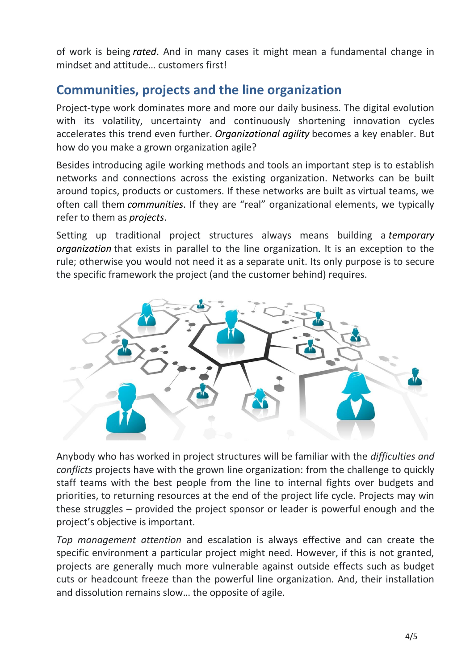of work is being *rated*. And in many cases it might mean a fundamental change in mindset and attitude… customers first!

## **Communities, projects and the line organization**

Project-type work dominates more and more our daily business. The digital evolution with its volatility, uncertainty and continuously shortening innovation cycles accelerates this trend even further. *Organizational agility* becomes a key enabler. But how do you make a grown organization agile?

Besides introducing agile working methods and tools an important step is to establish networks and connections across the existing organization. Networks can be built around topics, products or customers. If these networks are built as virtual teams, we often call them *communities*. If they are "real" organizational elements, we typically refer to them as *projects*.

Setting up traditional project structures always means building a *temporary organization* that exists in parallel to the line organization. It is an exception to the rule; otherwise you would not need it as a separate unit. Its only purpose is to secure the specific framework the project (and the customer behind) requires.



Anybody who has worked in project structures will be familiar with the *difficulties and conflicts* projects have with the grown line organization: from the challenge to quickly staff teams with the best people from the line to internal fights over budgets and priorities, to returning resources at the end of the project life cycle. Projects may win these struggles – provided the project sponsor or leader is powerful enough and the project's objective is important.

*Top management attention* and escalation is always effective and can create the specific environment a particular project might need. However, if this is not granted, projects are generally much more vulnerable against outside effects such as budget cuts or headcount freeze than the powerful line organization. And, their installation and dissolution remains slow… the opposite of agile.